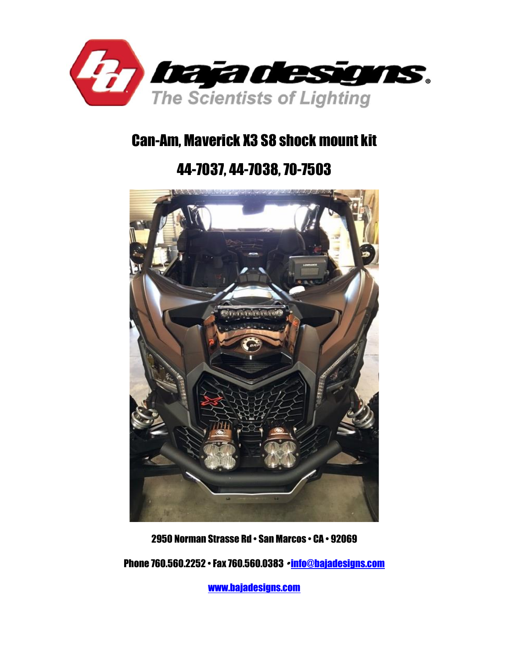

# Can-Am, Maverick X3 S8 shock mount kit

# 44-7037, 44-7038, 70-7503



2950 Norman Strasse Rd • San Marcos • CA • 92069

Phone 760.560.2252 • Fax 760.560.0383 • [info@bajadesigns.com](mailto:info@bajadesigns.com)

[www.bajadesigns.com](http://www.bajadesigns.com/)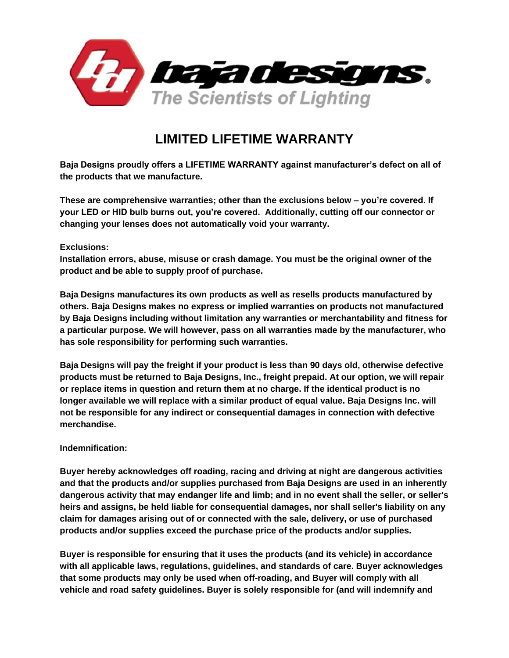

## **LIMITED LIFETIME WARRANTY**

**Baja Designs proudly offers a LIFETIME WARRANTY against manufacturer's defect on all of the products that we manufacture.**

**These are comprehensive warranties; other than the exclusions below – you're covered. If your LED or HID bulb burns out, you're covered. Additionally, cutting off our connector or changing your lenses does not automatically void your warranty.**

#### **Exclusions:**

**Installation errors, abuse, misuse or crash damage. You must be the original owner of the product and be able to supply proof of purchase.**

**Baja Designs manufactures its own products as well as resells products manufactured by others. Baja Designs makes no express or implied warranties on products not manufactured by Baja Designs including without limitation any warranties or merchantability and fitness for a particular purpose. We will however, pass on all warranties made by the manufacturer, who has sole responsibility for performing such warranties.**

**Baja Designs will pay the freight if your product is less than 90 days old, otherwise defective products must be returned to Baja Designs, Inc., freight prepaid. At our option, we will repair or replace items in question and return them at no charge. If the identical product is no longer available we will replace with a similar product of equal value. Baja Designs Inc. will not be responsible for any indirect or consequential damages in connection with defective merchandise.**

#### **Indemnification:**

**Buyer hereby acknowledges off roading, racing and driving at night are dangerous activities and that the products and/or supplies purchased from Baja Designs are used in an inherently dangerous activity that may endanger life and limb; and in no event shall the seller, or seller's heirs and assigns, be held liable for consequential damages, nor shall seller's liability on any claim for damages arising out of or connected with the sale, delivery, or use of purchased products and/or supplies exceed the purchase price of the products and/or supplies.**

**Buyer is responsible for ensuring that it uses the products (and its vehicle) in accordance with all applicable laws, regulations, guidelines, and standards of care. Buyer acknowledges that some products may only be used when off-roading, and Buyer will comply with all vehicle and road safety guidelines. Buyer is solely responsible for (and will indemnify and**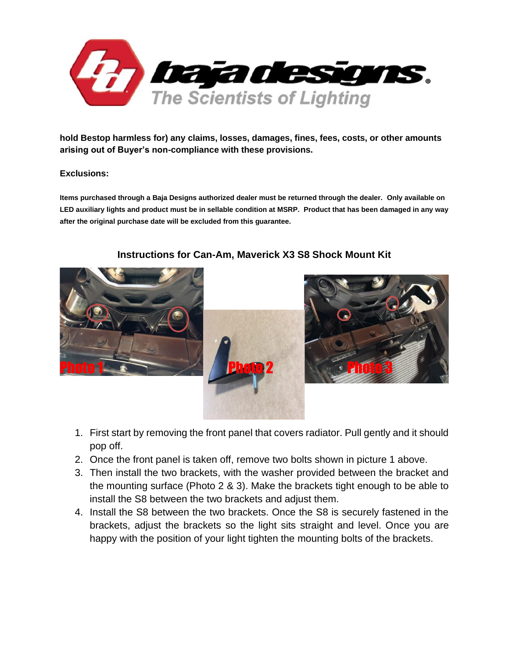

**hold Bestop harmless for) any claims, losses, damages, fines, fees, costs, or other amounts arising out of Buyer's non-compliance with these provisions.** 

#### **Exclusions:**

**Items purchased through a Baja Designs authorized dealer must be returned through the dealer. Only available on LED auxiliary lights and product must be in sellable condition at MSRP. Product that has been damaged in any way after the original purchase date will be excluded from this guarantee.**



### **Instructions for Can-Am, Maverick X3 S8 Shock Mount Kit**





- 1. First start by removing the front panel that covers radiator. Pull gently and it should pop off.
- 2. Once the front panel is taken off, remove two bolts shown in picture 1 above.
- 3. Then install the two brackets, with the washer provided between the bracket and the mounting surface (Photo 2 & 3). Make the brackets tight enough to be able to install the S8 between the two brackets and adjust them.
- 4. Install the S8 between the two brackets. Once the S8 is securely fastened in the brackets, adjust the brackets so the light sits straight and level. Once you are happy with the position of your light tighten the mounting bolts of the brackets.